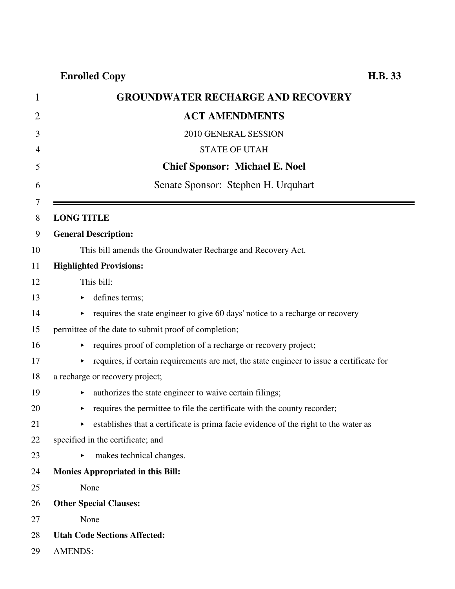| 1  | <b>GROUNDWATER RECHARGE AND RECOVERY</b>                                                      |
|----|-----------------------------------------------------------------------------------------------|
| 2  | <b>ACT AMENDMENTS</b>                                                                         |
| 3  | 2010 GENERAL SESSION                                                                          |
| 4  | <b>STATE OF UTAH</b>                                                                          |
| 5  | <b>Chief Sponsor: Michael E. Noel</b>                                                         |
| 6  | Senate Sponsor: Stephen H. Urquhart                                                           |
| 7  |                                                                                               |
| 8  | <b>LONG TITLE</b>                                                                             |
| 9  | <b>General Description:</b>                                                                   |
| 10 | This bill amends the Groundwater Recharge and Recovery Act.                                   |
| 11 | <b>Highlighted Provisions:</b>                                                                |
| 12 | This bill:                                                                                    |
| 13 | defines terms;<br>٠                                                                           |
| 14 | requires the state engineer to give 60 days' notice to a recharge or recovery                 |
| 15 | permittee of the date to submit proof of completion;                                          |
| 16 | requires proof of completion of a recharge or recovery project;<br>▶                          |
| 17 | requires, if certain requirements are met, the state engineer to issue a certificate for<br>▶ |
| 18 | a recharge or recovery project;                                                               |
| 19 | authorizes the state engineer to waive certain filings;<br>٠                                  |
| 20 | requires the permittee to file the certificate with the county recorder;<br>▶                 |
| 21 | establishes that a certificate is prima facie evidence of the right to the water as           |
| 22 | specified in the certificate; and                                                             |
| 23 | makes technical changes.<br>$\blacktriangleright$                                             |
| 24 | <b>Monies Appropriated in this Bill:</b>                                                      |
| 25 | None                                                                                          |
| 26 | <b>Other Special Clauses:</b>                                                                 |
| 27 | None                                                                                          |
| 28 | <b>Utah Code Sections Affected:</b>                                                           |
| 29 | <b>AMENDS:</b>                                                                                |

 $\blacksquare$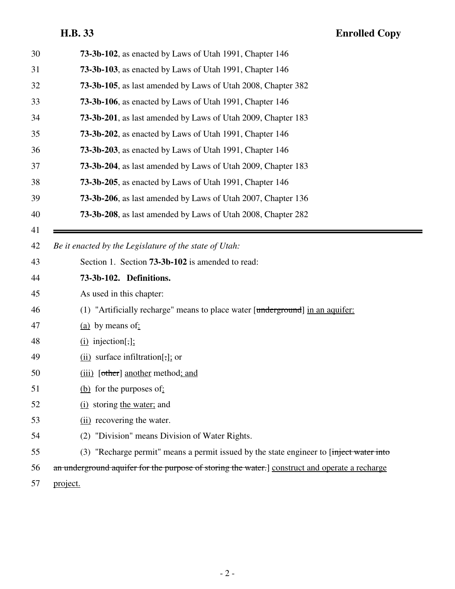# **H.B. 33 Enrolled Copy**

| 30 | 73-3b-102, as enacted by Laws of Utah 1991, Chapter 146                                        |
|----|------------------------------------------------------------------------------------------------|
| 31 | 73-3b-103, as enacted by Laws of Utah 1991, Chapter 146                                        |
| 32 | 73-3b-105, as last amended by Laws of Utah 2008, Chapter 382                                   |
| 33 | 73-3b-106, as enacted by Laws of Utah 1991, Chapter 146                                        |
| 34 | <b>73-3b-201</b> , as last amended by Laws of Utah 2009, Chapter 183                           |
| 35 | 73-3b-202, as enacted by Laws of Utah 1991, Chapter 146                                        |
| 36 | 73-3b-203, as enacted by Laws of Utah 1991, Chapter 146                                        |
| 37 | 73-3b-204, as last amended by Laws of Utah 2009, Chapter 183                                   |
| 38 | 73-3b-205, as enacted by Laws of Utah 1991, Chapter 146                                        |
| 39 | <b>73-3b-206</b> , as last amended by Laws of Utah 2007, Chapter 136                           |
| 40 | 73-3b-208, as last amended by Laws of Utah 2008, Chapter 282                                   |
| 41 |                                                                                                |
| 42 | Be it enacted by the Legislature of the state of Utah:                                         |
| 43 | Section 1. Section <b>73-3b-102</b> is amended to read:                                        |
| 44 | 73-3b-102. Definitions.                                                                        |
| 45 | As used in this chapter:                                                                       |
| 46 | "Artificially recharge" means to place water [underground] in an aquifer:<br>(1)               |
| 47 | $(a)$ by means of:                                                                             |
| 48 | $(i)$ injection[,];                                                                            |
| 49 | $(ii)$ surface infiltration[,]; or                                                             |
| 50 | (iii) [other] another method; and                                                              |
| 51 | (b) for the purposes of:                                                                       |
| 52 | (i) storing the water; and                                                                     |
| 53 | (ii) recovering the water.                                                                     |
| 54 | (2) "Division" means Division of Water Rights.                                                 |
| 55 | (3) "Recharge permit" means a permit issued by the state engineer to [inject water into        |
| 56 | an underground aquifer for the purpose of storing the water.] construct and operate a recharge |
| 57 | project.                                                                                       |
|    |                                                                                                |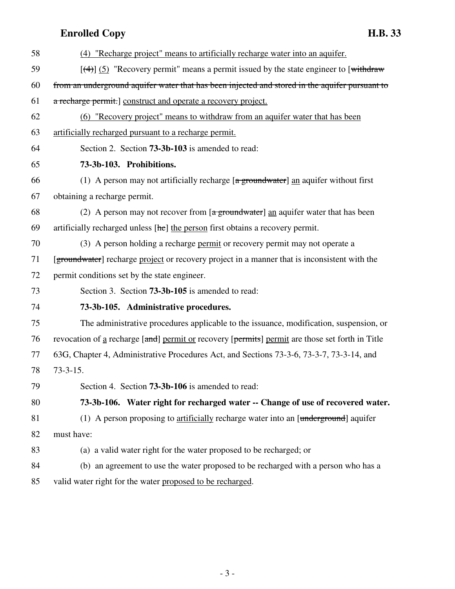| 58 | (4) "Recharge project" means to artificially recharge water into an aquifer.                                       |
|----|--------------------------------------------------------------------------------------------------------------------|
| 59 | $[$ (4)] (5) "Recovery permit" means a permit issued by the state engineer to [withdraw                            |
| 60 | from an underground aquifer water that has been injected and stored in the aquifer pursuant to                     |
| 61 | a recharge permit.] construct and operate a recovery project.                                                      |
| 62 | (6) "Recovery project" means to withdraw from an aquifer water that has been                                       |
| 63 | artificially recharged pursuant to a recharge permit.                                                              |
| 64 | Section 2. Section <b>73-3b-103</b> is amended to read:                                                            |
| 65 | 73-3b-103. Prohibitions.                                                                                           |
| 66 | (1) A person may not artificially recharge $\left[\frac{a \text{ groundwater}}{a}\right]$ an aquifer without first |
| 67 | obtaining a recharge permit.                                                                                       |
| 68 | (2) A person may not recover from $\left[\frac{a}{2} \frac{g}{}$ multiplex and aquilibular that has been           |
| 69 | artificially recharged unless [he] the person first obtains a recovery permit.                                     |
| 70 | (3) A person holding a recharge permit or recovery permit may not operate a                                        |
| 71 | [groundwater] recharge project or recovery project in a manner that is inconsistent with the                       |
| 72 | permit conditions set by the state engineer.                                                                       |
| 73 | Section 3. Section <b>73-3b-105</b> is amended to read:                                                            |
| 74 | 73-3b-105. Administrative procedures.                                                                              |
| 75 | The administrative procedures applicable to the issuance, modification, suspension, or                             |
| 76 | revocation of <u>a</u> recharge [and] permit or recovery [permits] permit are those set forth in Title             |
| 77 | 63G, Chapter 4, Administrative Procedures Act, and Sections 73-3-6, 73-3-7, 73-3-14, and                           |
| 78 | $73 - 3 - 15$ .                                                                                                    |
| 79 | Section 4. Section <b>73-3b-106</b> is amended to read:                                                            |
| 80 | 73-3b-106. Water right for recharged water -- Change of use of recovered water.                                    |
| 81 | (1) A person proposing to artificially recharge water into an [underground] aquifer                                |
| 82 | must have:                                                                                                         |
| 83 | (a) a valid water right for the water proposed to be recharged; or                                                 |
| 84 | (b) an agreement to use the water proposed to be recharged with a person who has a                                 |
| 85 | valid water right for the water proposed to be recharged.                                                          |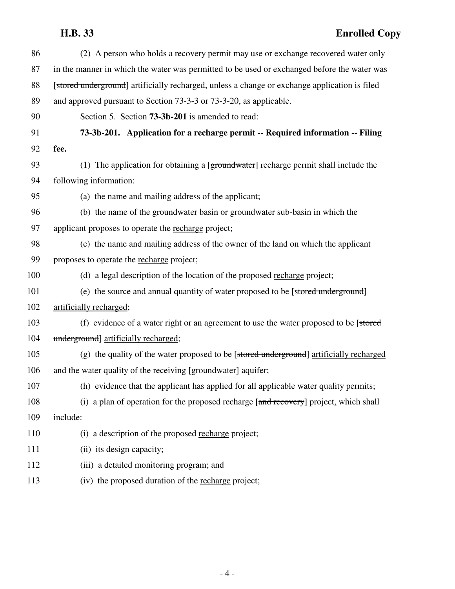### **H.B. 33 Enrolled Copy**

| 86  | (2) A person who holds a recovery permit may use or exchange recovered water only             |
|-----|-----------------------------------------------------------------------------------------------|
| 87  | in the manner in which the water was permitted to be used or exchanged before the water was   |
| 88  | [stored underground] artificially recharged, unless a change or exchange application is filed |
| 89  | and approved pursuant to Section 73-3-3 or 73-3-20, as applicable.                            |
| 90  | Section 5. Section <b>73-3b-201</b> is amended to read:                                       |
| 91  | 73-3b-201. Application for a recharge permit -- Required information -- Filing                |
| 92  | fee.                                                                                          |
| 93  | (1) The application for obtaining a [groundwater] recharge permit shall include the           |
| 94  | following information:                                                                        |
| 95  | (a) the name and mailing address of the applicant;                                            |
| 96  | (b) the name of the groundwater basin or groundwater sub-basin in which the                   |
| 97  | applicant proposes to operate the recharge project;                                           |
| 98  | (c) the name and mailing address of the owner of the land on which the applicant              |
| 99  | proposes to operate the recharge project;                                                     |
| 100 | (d) a legal description of the location of the proposed recharge project;                     |
| 101 | (e) the source and annual quantity of water proposed to be [stored underground]               |
| 102 | artificially recharged;                                                                       |
| 103 | (f) evidence of a water right or an agreement to use the water proposed to be [stored]        |
| 104 | underground] artificially recharged;                                                          |
| 105 | (g) the quality of the water proposed to be [stored underground] artificially recharged       |
| 106 | and the water quality of the receiving [groundwater] aquifer;                                 |
| 107 | (h) evidence that the applicant has applied for all applicable water quality permits;         |
| 108 | (i) a plan of operation for the proposed recharge [and recovery] project, which shall         |
| 109 | include:                                                                                      |
| 110 | (i) a description of the proposed recharge project;                                           |
| 111 | (ii) its design capacity;                                                                     |
| 112 | (iii) a detailed monitoring program; and                                                      |
| 113 | (iv) the proposed duration of the recharge project;                                           |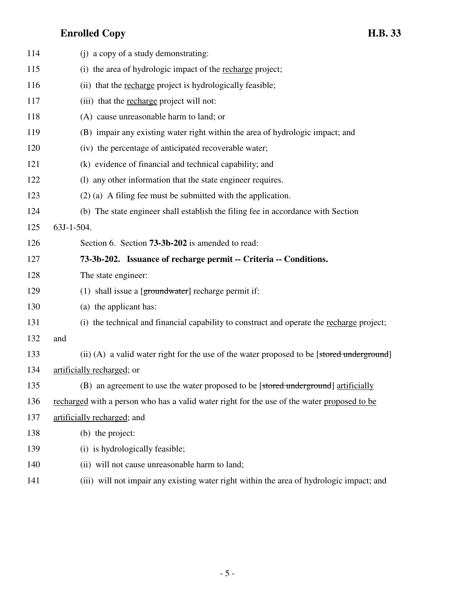| 114 | (i) a copy of a study demonstrating:                                                        |
|-----|---------------------------------------------------------------------------------------------|
| 115 | (i) the area of hydrologic impact of the recharge project;                                  |
| 116 | (ii) that the recharge project is hydrologically feasible;                                  |
| 117 | (iii) that the recharge project will not:                                                   |
| 118 | (A) cause unreasonable harm to land; or                                                     |
| 119 | (B) impair any existing water right within the area of hydrologic impact; and               |
| 120 | (iv) the percentage of anticipated recoverable water;                                       |
| 121 | (k) evidence of financial and technical capability; and                                     |
| 122 | (1) any other information that the state engineer requires.                                 |
| 123 | $(2)$ (a) A filing fee must be submitted with the application.                              |
| 124 | (b) The state engineer shall establish the filing fee in accordance with Section            |
| 125 | 63J-1-504.                                                                                  |
| 126 | Section 6. Section <b>73-3b-202</b> is amended to read:                                     |
| 127 | 73-3b-202. Issuance of recharge permit -- Criteria -- Conditions.                           |
| 128 | The state engineer:                                                                         |
| 129 | (1) shall issue a $g$ [groundwater] recharge permit if:                                     |
| 130 | (a) the applicant has:                                                                      |
| 131 | (i) the technical and financial capability to construct and operate the recharge project;   |
| 132 | and                                                                                         |
| 133 | (ii) (A) a valid water right for the use of the water proposed to be [stored underground]   |
| 134 | artificially recharged; or                                                                  |
| 135 | (B) an agreement to use the water proposed to be [stored underground] artificially          |
| 136 | recharged with a person who has a valid water right for the use of the water proposed to be |
| 137 | artificially recharged; and                                                                 |
| 138 | (b) the project:                                                                            |
| 139 | (i) is hydrologically feasible;                                                             |
| 140 | (ii) will not cause unreasonable harm to land;                                              |
| 141 | (iii) will not impair any existing water right within the area of hydrologic impact; and    |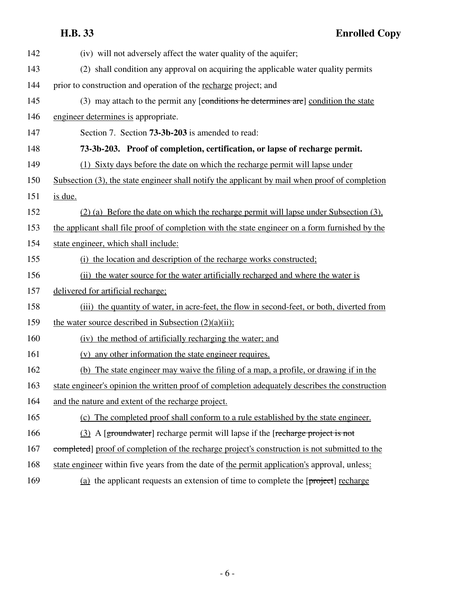| 142 | (iv) will not adversely affect the water quality of the aquifer;                                |
|-----|-------------------------------------------------------------------------------------------------|
| 143 | (2) shall condition any approval on acquiring the applicable water quality permits              |
| 144 | prior to construction and operation of the recharge project; and                                |
| 145 | (3) may attach to the permit any [conditions he determines are] condition the state             |
| 146 | engineer determines is appropriate.                                                             |
| 147 | Section 7. Section <b>73-3b-203</b> is amended to read:                                         |
| 148 | 73-3b-203. Proof of completion, certification, or lapse of recharge permit.                     |
| 149 | (1) Sixty days before the date on which the recharge permit will lapse under                    |
| 150 | Subsection (3), the state engineer shall notify the applicant by mail when proof of completion  |
| 151 | is due.                                                                                         |
| 152 | (2) (a) Before the date on which the recharge permit will lapse under Subsection (3).           |
| 153 | the applicant shall file proof of completion with the state engineer on a form furnished by the |
| 154 | state engineer, which shall include:                                                            |
| 155 | (i) the location and description of the recharge works constructed;                             |
| 156 | (ii) the water source for the water artificially recharged and where the water is               |
| 157 | delivered for artificial recharge;                                                              |
| 158 | (iii) the quantity of water, in acre-feet, the flow in second-feet, or both, diverted from      |
| 159 | the water source described in Subsection $(2)(a)(ii)$ ;                                         |
| 160 | (iv) the method of artificially recharging the water; and                                       |
| 161 | any other information the state engineer requires.<br>(v)                                       |
| 162 | (b) The state engineer may waive the filing of a map, a profile, or drawing if in the           |
| 163 | state engineer's opinion the written proof of completion adequately describes the construction  |
| 164 | and the nature and extent of the recharge project.                                              |
| 165 | (c) The completed proof shall conform to a rule established by the state engineer.              |
| 166 | (3) A [groundwater] recharge permit will lapse if the [recharge project is not                  |
| 167 | completed] proof of completion of the recharge project's construction is not submitted to the   |
| 168 | state engineer within five years from the date of the permit application's approval, unless:    |
| 169 | (a) the applicant requests an extension of time to complete the $[project]$ recharge            |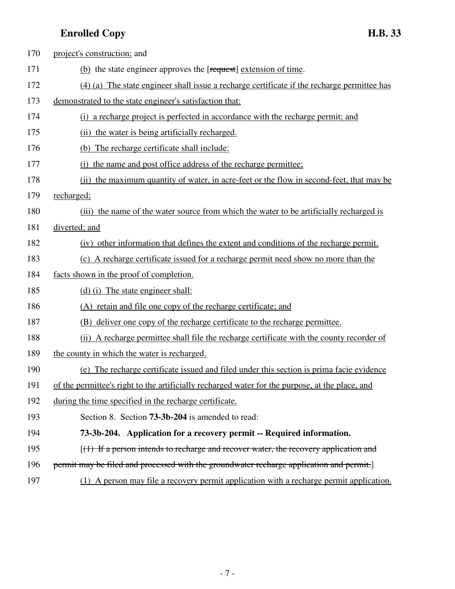| 170 | project's construction; and                                                                     |
|-----|-------------------------------------------------------------------------------------------------|
| 171 | (b) the state engineer approves the [request] extension of time.                                |
| 172 | $(4)$ (a) The state engineer shall issue a recharge certificate if the recharge permittee has   |
| 173 | demonstrated to the state engineer's satisfaction that:                                         |
| 174 | (i) a recharge project is perfected in accordance with the recharge permit; and                 |
| 175 | (ii) the water is being artificially recharged.                                                 |
| 176 | (b) The recharge certificate shall include:                                                     |
| 177 | (i) the name and post office address of the recharge permittee;                                 |
| 178 | (ii) the maximum quantity of water, in acre-feet or the flow in second-feet, that may be        |
| 179 | recharged;                                                                                      |
| 180 | (iii) the name of the water source from which the water to be artificially recharged is         |
| 181 | diverted; and                                                                                   |
| 182 | (iv) other information that defines the extent and conditions of the recharge permit.           |
| 183 | (c) A recharge certificate issued for a recharge permit need show no more than the              |
| 184 | facts shown in the proof of completion.                                                         |
| 185 | (d) (i) The state engineer shall:                                                               |
| 186 | (A) retain and file one copy of the recharge certificate; and                                   |
| 187 | (B) deliver one copy of the recharge certificate to the recharge permittee.                     |
| 188 | (ii) A recharge permittee shall file the recharge certificate with the county recorder of       |
| 189 | the county in which the water is recharged.                                                     |
| 190 | The recharge certificate issued and filed under this section is prima facie evidence<br>(e)     |
| 191 | of the permittee's right to the artificially recharged water for the purpose, at the place, and |
| 192 | during the time specified in the recharge certificate.                                          |
| 193 | Section 8. Section <b>73-3b-204</b> is amended to read:                                         |
| 194 | 73-3b-204. Application for a recovery permit -- Required information.                           |
| 195 | $(1)$ If a person intends to recharge and recover water, the recovery application and           |
| 196 | permit may be filed and processed with the groundwater recharge application and permit.         |
| 197 | (1) A person may file a recovery permit application with a recharge permit application.         |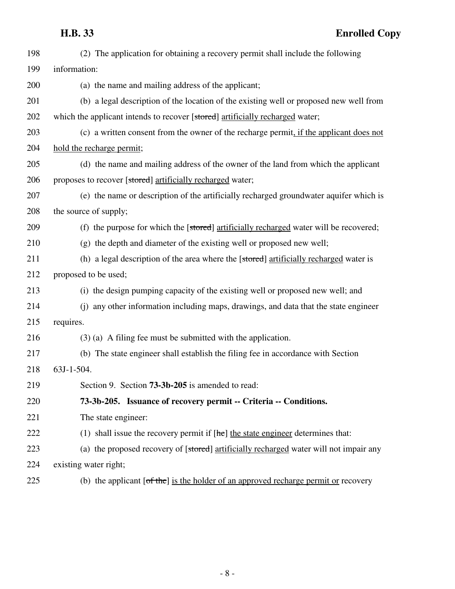| 198 | (2) The application for obtaining a recovery permit shall include the following        |
|-----|----------------------------------------------------------------------------------------|
| 199 | information:                                                                           |
| 200 | (a) the name and mailing address of the applicant;                                     |
| 201 | (b) a legal description of the location of the existing well or proposed new well from |
| 202 | which the applicant intends to recover [stored] artificially recharged water;          |
| 203 | (c) a written consent from the owner of the recharge permit, if the applicant does not |
| 204 | hold the recharge permit;                                                              |
| 205 | (d) the name and mailing address of the owner of the land from which the applicant     |
| 206 | proposes to recover [stored] artificially recharged water;                             |
| 207 | (e) the name or description of the artificially recharged groundwater aquifer which is |
| 208 | the source of supply;                                                                  |
| 209 | (f) the purpose for which the [stored] artificially recharged water will be recovered; |
| 210 | (g) the depth and diameter of the existing well or proposed new well;                  |
| 211 | (h) a legal description of the area where the [stored] artificially recharged water is |
| 212 | proposed to be used;                                                                   |
| 213 | (i) the design pumping capacity of the existing well or proposed new well; and         |
| 214 | (j) any other information including maps, drawings, and data that the state engineer   |
| 215 | requires.                                                                              |
| 216 | $(3)$ (a) A filing fee must be submitted with the application.                         |
| 217 | (b) The state engineer shall establish the filing fee in accordance with Section       |
| 218 | 63J-1-504.                                                                             |
| 219 | Section 9. Section 73-3b-205 is amended to read:                                       |
| 220 | 73-3b-205. Issuance of recovery permit -- Criteria -- Conditions.                      |
| 221 | The state engineer:                                                                    |
| 222 | (1) shall issue the recovery permit if $[he]$ the state engineer determines that:      |
| 223 | (a) the proposed recovery of [stored] artificially recharged water will not impair any |
| 224 | existing water right;                                                                  |
| 225 | (b) the applicant $[of the]$ is the holder of an approved recharge permit or recovery  |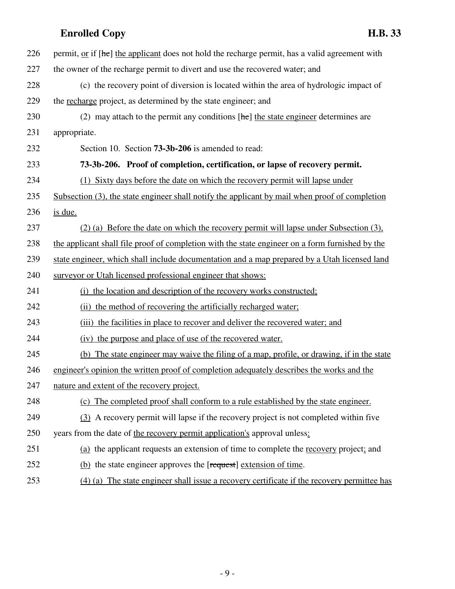| 226 | permit, <u>or</u> if [he] the applicant does not hold the recharge permit, has a valid agreement with |
|-----|-------------------------------------------------------------------------------------------------------|
| 227 | the owner of the recharge permit to divert and use the recovered water; and                           |
| 228 | (c) the recovery point of diversion is located within the area of hydrologic impact of                |
| 229 | the recharge project, as determined by the state engineer; and                                        |
| 230 | (2) may attach to the permit any conditions $[\text{he}]$ the state engineer determines are           |
| 231 | appropriate.                                                                                          |
| 232 | Section 10. Section <b>73-3b-206</b> is amended to read:                                              |
| 233 | 73-3b-206. Proof of completion, certification, or lapse of recovery permit.                           |
| 234 | (1) Sixty days before the date on which the recovery permit will lapse under                          |
| 235 | Subsection (3), the state engineer shall notify the applicant by mail when proof of completion        |
| 236 | is due.                                                                                               |
| 237 | (2) (a) Before the date on which the recovery permit will lapse under Subsection (3),                 |
| 238 | the applicant shall file proof of completion with the state engineer on a form furnished by the       |
| 239 | state engineer, which shall include documentation and a map prepared by a Utah licensed land          |
| 240 | surveyor or Utah licensed professional engineer that shows:                                           |
| 241 | the location and description of the recovery works constructed;<br>(i)                                |
| 242 | the method of recovering the artificially recharged water;<br>(ii)                                    |
| 243 | the facilities in place to recover and deliver the recovered water; and<br>(iii)                      |
| 244 | (iv) the purpose and place of use of the recovered water.                                             |
| 245 | (b) The state engineer may waive the filing of a map, profile, or drawing, if in the state            |
| 246 | engineer's opinion the written proof of completion adequately describes the works and the             |
| 247 | nature and extent of the recovery project.                                                            |
| 248 | (c) The completed proof shall conform to a rule established by the state engineer.                    |
| 249 | (3) A recovery permit will lapse if the recovery project is not completed within five                 |
| 250 | years from the date of the recovery permit application's approval unless:                             |
| 251 | (a) the applicant requests an extension of time to complete the recovery project; and                 |
| 252 | (b) the state engineer approves the [request] extension of time.                                      |
| 253 | $(4)$ (a) The state engineer shall issue a recovery certificate if the recovery permittee has         |